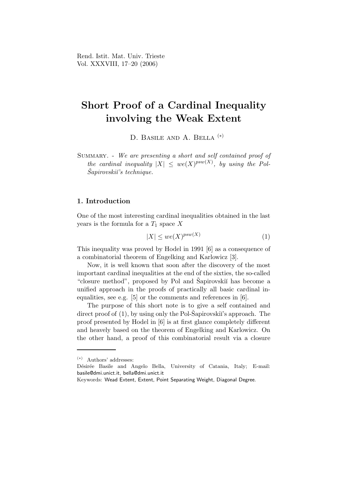## Short Proof of a Cardinal Inequality involving the Weak Extent

D. Basile and A. Bella (∗)

SUMMARY. - We are presenting a short and self contained proof of the cardinal inequality  $|X| \leq we(X)^{psw(X)}$ , by using the Pol- $Šapirovski i's\ technique.$ 

## 1. Introduction

One of the most interesting cardinal inequalities obtained in the last years is the formula for a  $T_1$  space X

$$
|X| \le we(X)^{psw(X)}\tag{1}
$$

This inequality was proved by Hodel in 1991 [6] as a consequence of a combinatorial theorem of Engelking and Karlowicz [3].

Now, it is well known that soon after the discovery of the most important cardinal inequalities at the end of the sixties, the so-called "closure method", proposed by Pol and Sapirovskii has become a unified approach in the proofs of practically all basic cardinal inequalities, see e.g. [5] or the comments and references in [6].

The purpose of this short note is to give a self contained and direct proof of  $(1)$ , by using only the Pol-Sapirovskiı's approach. The proof presented by Hodel in [6] is at first glance completely different and heavely based on the theorem of Engelking and Karlowicz. On the other hand, a proof of this combinatorial result via a closure

<sup>(</sup>∗) Authors' addresses:

Désirée Basile and Angelo Bella, University of Catania, Italy; E-mail: basile@dmi.unict.it, bella@dmi.unict.it

Keywords: Wead Extent, Extent, Point Separating Weight, Diagonal Degree.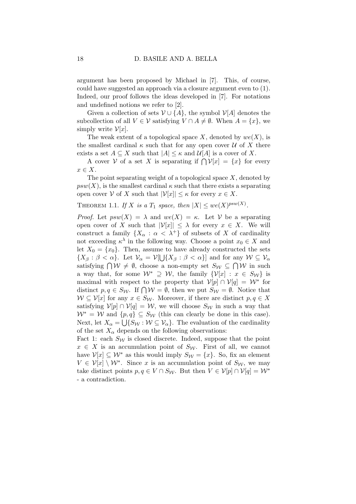argument has been proposed by Michael in [7]. This, of course, could have suggested an approach via a closure argument even to (1). Indeed, our proof follows the ideas developed in [7]. For notations and undefined notions we refer to [2].

Given a collection of sets  $V \cup \{A\}$ , the symbol  $V[A]$  denotes the subcollection of all  $V \in \mathcal{V}$  satisfying  $V \cap A \neq \emptyset$ . When  $A = \{x\}$ , we simply write  $\mathcal{V}[x]$ .

The weak extent of a topological space X, denoted by  $we(X)$ , is the smallest cardinal  $\kappa$  such that for any open cover U of X there exists a set  $A \subseteq X$  such that  $|A| \leq \kappa$  and  $\mathcal{U}[A]$  is a cover of X.

A cover V of a set X is separating if  $\bigcap V[x] = \{x\}$  for every  $x \in X$ .

The point separating weight of a topological space  $X$ , denoted by  $psw(X)$ , is the smallest cardinal  $\kappa$  such that there exists a separating open cover V of X such that  $|\mathcal{V}[x]| \leq \kappa$  for every  $x \in X$ .

## THEOREM 1.1. If X is a  $T_1$  space, then  $|X| \leq we(X)^{psw(X)}$ .

*Proof.* Let  $psw(X) = \lambda$  and  $we(X) = \kappa$ . Let V be a separating open cover of X such that  $|\mathcal{V}[x]| \leq \lambda$  for every  $x \in X$ . We will construct a family  $\{X_\alpha : \alpha < \lambda^+\}$  of subsets of X of cardinality not exceeding  $\kappa^{\lambda}$  in the following way. Choose a point  $x_0 \in X$  and let  $X_0 = \{x_0\}$ . Then, assume to have already constructed the sets  $\{X_{\beta} : \beta < \alpha\}$ . Let  $\mathcal{V}_{\alpha} = \mathcal{V}[\bigcup \{X_{\beta} : \beta < \alpha\}]$  and for any  $\mathcal{W} \subseteq \mathcal{V}_{\alpha}$ satisfying  $\bigcap \mathcal{W} \neq \emptyset$ , choose a non-empty set  $S_{\mathcal{W}} \subseteq \bigcap \mathcal{W}$  in such a way that, for some  $\mathcal{W}^* \supseteq \mathcal{W}$ , the family  $\{\mathcal{V}[x] : x \in S_{\mathcal{W}}\}$  is maximal with respect to the property that  $\mathcal{V}[p] \cap \mathcal{V}[q] = \mathcal{W}^*$  for distinct  $p, q \in S_{\mathcal{W}}$ . If  $\bigcap \mathcal{W} = \emptyset$ , then we put  $S_{\mathcal{W}} = \emptyset$ . Notice that  $W \subseteq \mathcal{V}[x]$  for any  $x \in S_{\mathcal{W}}$ . Moreover, if there are distinct  $p, q \in X$ satisfying  $V[p] \cap V[q] = W$ , we will choose  $S_W$  in such a way that  $W^* = W$  and  $\{p, q\} \subseteq S_W$  (this can clearly be done in this case). Next, let  $X_{\alpha} = \bigcup \{ S_{\mathcal{W}} : \mathcal{W} \subseteq \mathcal{V}_{\alpha} \}.$  The evaluation of the cardinality of the set  $X_{\alpha}$  depends on the following observations:

Fact 1: each  $S_W$  is closed discrete. Indeed, suppose that the point  $x \in X$  is an accumulation point of  $S_{\mathcal{W}}$ . First of all, we cannot have  $V[x] \subseteq \mathcal{W}^*$  as this would imply  $S_{\mathcal{W}} = \{x\}$ . So, fix an element  $V \in \mathcal{V}[x] \setminus \mathcal{W}^*$ . Since x is an accumulation point of  $S_{\mathcal{W}}$ , we may take distinct points  $p, q \in V \cap S_{\mathcal{W}}$ . But then  $V \in \mathcal{V}[p] \cap \mathcal{V}[q] = \mathcal{W}^*$ - a contradiction.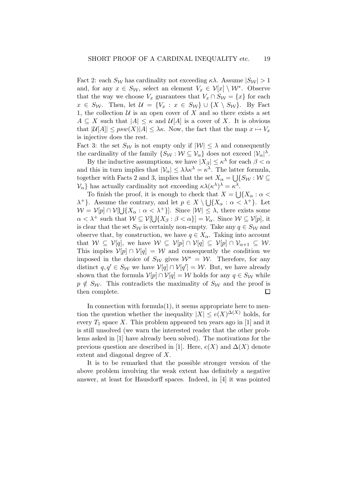Fact 2: each  $S_{\mathcal{W}}$  has cardinality not exceeding  $\kappa\lambda$ . Assume  $|S_{\mathcal{W}}| > 1$ and, for any  $x \in S_W$ , select an element  $V_x \in \mathcal{V}[x] \setminus \mathcal{W}^*$ . Observe that the way we choose  $V_x$  guarantees that  $V_x \cap S_{\mathcal{W}} = \{x\}$  for each  $x \in S_W$ . Then, let  $\mathcal{U} = \{V_x : x \in S_W\} \cup \{X \setminus S_W\}$ . By Fact 1, the collection  $U$  is an open cover of X and so there exists a set  $A \subseteq X$  such that  $|A| \leq \kappa$  and  $\mathcal{U}[A]$  is a cover of X. It is obvious that  $|\mathcal{U}[A]| \leq psw(X)|A| \leq \lambda \kappa$ . Now, the fact that the map  $x \mapsto V_x$ is injective does the rest.

Fact 3: the set  $S_{\mathcal{W}}$  is not empty only if  $|\mathcal{W}| \leq \lambda$  and consequently the cardinality of the family  $\{S_{\mathcal{W}} : \mathcal{W} \subseteq \mathcal{V}_{\alpha}\}\)$  does not exceed  $|\mathcal{V}_{\alpha}|^{\lambda}$ .

By the inductive assumptions, we have  $|X_\beta| \le \kappa^\lambda$  for each  $\beta < \alpha$ and this in turn implies that  $|\mathcal{V}_{\alpha}| \leq \lambda \lambda \kappa^{\lambda} = \kappa^{\lambda}$ . The latter formula, together with Facts 2 and 3, implies that the set  $X_{\alpha} = \bigcup \{ S_{\mathcal{W}} : \mathcal{W} \subseteq$  $V_{\alpha}$ } has actually cardinality not exceeding  $\kappa \lambda(\kappa^{\lambda})^{\lambda} = \kappa^{\lambda}$ .

To finish the proof, it is enough to check that  $X = \bigcup \{X_\alpha : \alpha < \alpha\}$  $\lambda^+$ }. Assume the contrary, and let  $p \in X \setminus \bigcup \{X_\alpha : \alpha < \lambda^+\}$ . Let  $\mathcal{W} = \mathcal{V}[p] \cap \mathcal{V}[\bigcup \{X_\alpha : \alpha < \lambda^+\}]$ . Since  $|\mathcal{W}| \leq \lambda$ , there exists some  $\alpha < \lambda^+$  such that  $W \subseteq V[\bigcup \{X_\beta : \beta < \alpha\}] = \mathcal{V}_\alpha$ . Since  $W \subseteq V[p]$ , it is clear that the set  $S_{\mathcal{W}}$  is certainly non-empty. Take any  $q \in S_{\mathcal{W}}$  and observe that, by construction, we have  $q \in X_\alpha$ . Taking into account that  $W \subseteq V[q]$ , we have  $W \subseteq V[p] \cap V[q] \subseteq V[p] \cap V_{\alpha+1} \subseteq W$ . This implies  $V[p] \cap V[q] = W$  and consequently the condition we imposed in the choice of  $S_W$  gives  $W^* = W$ . Therefore, for any distinct  $q, q' \in S_{\mathcal{W}}$  we have  $\mathcal{V}[q] \cap \mathcal{V}[q'] = \mathcal{W}$ . But, we have already shown that the formula  $V[p] \cap V[q] = W$  holds for any  $q \in S_W$  while  $p \notin S_W$ . This contradicts the maximality of  $S_W$  and the proof is then complete.  $\Box$ 

In connection with formula(1), it seems appropriate here to mention the question whether the inequality  $|X| \leq e(X)^{\Delta(X)}$  holds, for every  $T_1$  space X. This problem appeared ten years ago in [1] and it is still unsolved (we warn the interested reader that the other problems asked in [1] have already been solved). The motivations for the previous question are described in [1]. Here,  $e(X)$  and  $\Delta(X)$  denote extent and diagonal degree of X.

It is to be remarked that the possible stronger version of the above problem involving the weak extent has definitely a negative answer, at least for Hausdorff spaces. Indeed, in [4] it was pointed